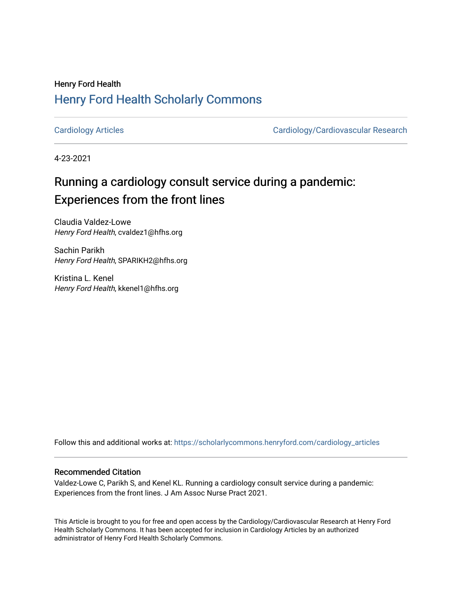### Henry Ford Health [Henry Ford Health Scholarly Commons](https://scholarlycommons.henryford.com/)

[Cardiology Articles](https://scholarlycommons.henryford.com/cardiology_articles) [Cardiology/Cardiovascular Research](https://scholarlycommons.henryford.com/cardiology) 

4-23-2021

# Running a cardiology consult service during a pandemic: Experiences from the front lines

Claudia Valdez-Lowe Henry Ford Health, cvaldez1@hfhs.org

Sachin Parikh Henry Ford Health, SPARIKH2@hfhs.org

Kristina L. Kenel Henry Ford Health, kkenel1@hfhs.org

Follow this and additional works at: [https://scholarlycommons.henryford.com/cardiology\\_articles](https://scholarlycommons.henryford.com/cardiology_articles?utm_source=scholarlycommons.henryford.com%2Fcardiology_articles%2F727&utm_medium=PDF&utm_campaign=PDFCoverPages)

#### Recommended Citation

Valdez-Lowe C, Parikh S, and Kenel KL. Running a cardiology consult service during a pandemic: Experiences from the front lines. J Am Assoc Nurse Pract 2021.

This Article is brought to you for free and open access by the Cardiology/Cardiovascular Research at Henry Ford Health Scholarly Commons. It has been accepted for inclusion in Cardiology Articles by an authorized administrator of Henry Ford Health Scholarly Commons.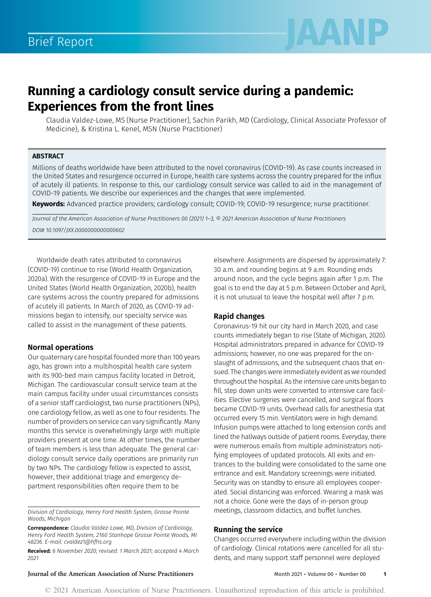

## Running a cardiology consult service during a pandemic: Experiences from the front lines

Claudia Valdez-Lowe, MS (Nurse Practitioner), Sachin Parikh, MD (Cardiology, Clinical Associate Professor of Medicine), & Kristina L. Kenel, MSN (Nurse Practitioner)

#### **ABSTRACT**

Millions of deaths worldwide have been attributed to the novel coronavirus (COVID-19). As case counts increased in the United States and resurgence occurred in Europe, health care systems across the country prepared for the influx of acutely ill patients. In response to this, our cardiology consult service was called to aid in the management of COVID-19 patients. We describe our experiences and the changes that were implemented.

Keywords: Advanced practice providers; cardiology consult; COVID-19; COVID-19 resurgence; nurse practitioner.

Journal of the American Association of Nurse Practitioners 00 (2021) 1–3, © 2021 American Association of Nurse Practitioners DOI# 10.1097/JXX.0000000000000602

Worldwide death rates attributed to coronavirus (COVID-19) continue to rise (World Health Organization, 2020a). With the resurgence of COVID-19 in Europe and the United States (World Health Organization, 2020b), health care systems across the country prepared for admissions of acutely ill patients. In March of 2020, as COVID-19 admissions began to intensify, our specialty service was called to assist in the management of these patients.

#### Normal operations

Our quaternary care hospital founded more than 100 years ago, has grown into a multihospital health care system with its 900-bed main campus facility located in Detroit, Michigan. The cardiovascular consult service team at the main campus facility under usual circumstances consists of a senior staff cardiologist, two nurse practitioners (NPs), one cardiology fellow, as well as one to four residents. The number of providers on service can vary significantly. Many months this service is overwhelmingly large with multiple providers present at one time. At other times, the number of team members is less than adequate. The general cardiology consult service daily operations are primarily run by two NPs. The cardiology fellow is expected to assist, however, their additional triage and emergency department responsibilities often require them to be

Division of Cardiology, Henry Ford Health System, Grosse Pointe Woods, Michigan

Correspondence: Claudia Valdez-Lowe, MD, Division of Cardiology, Henry Ford Health System, 2160 Stanhope Grosse Pointe Woods, MI 48236. E-mail: [cvaldez1@hfhs.org](mailto:cvaldez1@hfhs.org)

Received: 6 November 2020; revised: 1 March 2021; accepted 4 March 2021

elsewhere. Assignments are dispersed by approximately 7: 30 a.m. and rounding begins at 9 a.m. Rounding ends around noon, and the cycle begins again after 1 p.m. The goal is to end the day at 5 p.m. Between October and April, it is not unusual to leave the hospital well after 7 p.m.

#### Rapid changes

Coronavirus-19 hit our city hard in March 2020, and case counts immediately began to rise (State of Michigan, 2020). Hospital administrators prepared in advance for COVID-19 admissions; however, no one was prepared for the onslaught of admissions, and the subsequent chaos that ensued. The changes were immediately evident as we rounded throughout the hospital. As the intensive care units began to fill, step down units were converted to intensive care facilities. Elective surgeries were cancelled, and surgical floors became COVID-19 units. Overhead calls for anesthesia stat occurred every 15 min. Ventilators were in high demand. Infusion pumps were attached to long extension cords and lined the hallways outside of patient rooms. Everyday, there were numerous emails from multiple administrators notifying employees of updated protocols. All exits and entrances to the building were consolidated to the same one entrance and exit. Mandatory screenings were initiated. Security was on standby to ensure all employees cooperated. Social distancing was enforced. Wearing a mask was not a choice. Gone were the days of in-person group meetings, classroom didactics, and buffet lunches.

#### Running the service

Changes occurred everywhere including within the division of cardiology. Clinical rotations were cancelled for all students, and many support staff personnel were deployed

#### Journal of the American Association of Nurse Practitioners Month 2021 · Volume 00 · Number 00 1

© 2021 American Association of Nurse Practitioners. Unauthorized reproduction of this article is prohibited.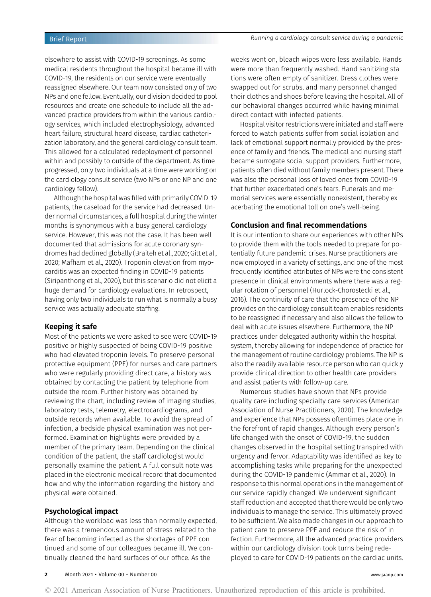elsewhere to assist with COVID-19 screenings. As some medical residents throughout the hospital became ill with COVID-19, the residents on our service were eventually reassigned elsewhere. Our team now consisted only of two NPs and one fellow. Eventually, our division decided to pool resources and create one schedule to include all the advanced practice providers from within the various cardiology services, which included electrophysiology, advanced heart failure, structural heard disease, cardiac catheterization laboratory, and the general cardiology consult team. This allowed for a calculated redeployment of personnel within and possibly to outside of the department. As time progressed, only two individuals at a time were working on the cardiology consult service (two NPs or one NP and one cardiology fellow).

Although the hospital was filled with primarily COVID-19 patients, the caseload for the service had decreased. Under normal circumstances, a full hospital during the winter months is synonymous with a busy general cardiology service. However, this was not the case. It has been well documented that admissions for acute coronary syndromes had declined globally (Braiteh et al., 2020; Gitt et al., 2020; Mafham et al., 2020). Troponin elevation from myocarditis was an expected finding in COVID-19 patients (Siripanthong et al., 2020), but this scenario did not elicit a huge demand for cardiology evaluations. In retrospect, having only two individuals to run what is normally a busy service was actually adequate staffing.

#### Keeping it safe

Most of the patients we were asked to see were COVID-19 positive or highly suspected of being COVID-19 positive who had elevated troponin levels. To preserve personal protective equipment (PPE) for nurses and care partners who were regularly providing direct care, a history was obtained by contacting the patient by telephone from outside the room. Further history was obtained by reviewing the chart, including review of imaging studies, laboratory tests, telemetry, electrocardiograms, and outside records when available. To avoid the spread of infection, a bedside physical examination was not performed. Examination highlights were provided by a member of the primary team. Depending on the clinical condition of the patient, the staff cardiologist would personally examine the patient. A full consult note was placed in the electronic medical record that documented how and why the information regarding the history and physical were obtained.

#### Psychological impact

Although the workload was less than normally expected, there was a tremendous amount of stress related to the fear of becoming infected as the shortages of PPE continued and some of our colleagues became ill. We continually cleaned the hard surfaces of our office. As the

weeks went on, bleach wipes were less available. Hands were more than frequently washed. Hand sanitizing stations were often empty of sanitizer. Dress clothes were swapped out for scrubs, and many personnel changed their clothes and shoes before leaving the hospital. All of our behavioral changes occurred while having minimal direct contact with infected patients.

Hospital visitor restrictions were initiated and staff were forced to watch patients suffer from social isolation and lack of emotional support normally provided by the presence of family and friends. The medical and nursing staff became surrogate social support providers. Furthermore, patients often died without family members present. There was also the personal loss of loved ones from COVID-19 that further exacerbated one's fears. Funerals and memorial services were essentially nonexistent, thereby exacerbating the emotional toll on one's well-being.

#### Conclusion and final recommendations

It is our intention to share our experiences with other NPs to provide them with the tools needed to prepare for potentially future pandemic crises. Nurse practitioners are now employed in a variety of settings, and one of the most frequently identified attributes of NPs were the consistent presence in clinical environments where there was a regular rotation of personnel (Hurlock-Chorostecki et al., 2016). The continuity of care that the presence of the NP provides on the cardiology consult team enables residents to be reassigned if necessary and also allows the fellow to deal with acute issues elsewhere. Furthermore, the NP practices under delegated authority within the hospital system, thereby allowing for independence of practice for the management of routine cardiology problems. The NP is also the readily available resource person who can quickly provide clinical direction to other health care providers and assist patients with follow-up care.

Numerous studies have shown that NPs provide quality care including specialty care services (American Association of Nurse Practitioners, 2020). The knowledge and experience that NPs possess oftentimes place one in the forefront of rapid changes. Although every person's life changed with the onset of COVID-19, the sudden changes observed in the hospital setting transpired with urgency and fervor. Adaptability was identified as key to accomplishing tasks while preparing for the unexpected during the COVID-19 pandemic (Ammar et al., 2020). In response to this normal operations in the management of our service rapidly changed. We underwent significant staff reduction and accepted that there would be only two individuals to manage the service. This ultimately proved to be sufficient. We also made changes in our approach to patient care to preserve PPE and reduce the risk of infection. Furthermore, all the advanced practice providers within our cardiology division took turns being redeployed to care for COVID-19 patients on the cardiac units.

© 2021 American Association of Nurse Practitioners. Unauthorized reproduction of this article is prohibited.